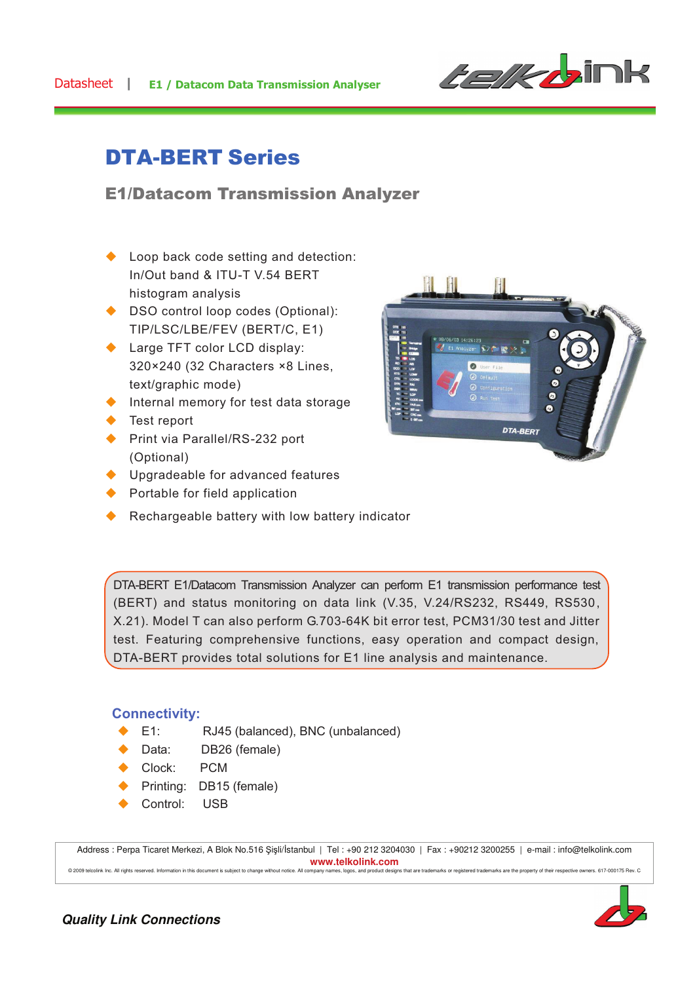

# DTA-BERT Series

## E1/Datacom Transmission Analyzer

- $\triangle$  Loop back code setting and detection: In/Out band & ITU-T V.54 BERT histogram analysis
- ◆ DSO control loop codes (Optional): TIP/LSC/LBE/FEV (BERT/C, E1)
- $\triangle$  Large TFT color LCD display: 320×240 (32 Characters ×8 Lines, text/graphic mode)
- $\blacklozenge$  Internal memory for test data storage
- $\blacklozenge$  Test report
- ◆ Print via Parallel/RS-232 port (Optional)
- $\blacklozenge$  Upgradeable for advanced features
- $\blacktriangleright$  Portable for field application
- $\blacklozenge$  Rechargeable battery with low battery indicator



DTA-BERT E1/Datacom Transmission Analyzer can perform E1 transmission performance test (BERT) and status monitoring on data link (V.35, V.24/RS232, RS449, RS530, X.21). Model T can also perform G.703-64K bit error test, PCM31/30 test and Jitter test. Featuring comprehensive functions, easy operation and compact design, DTA-BERT provides total solutions for E1 line analysis and maintenance.

#### **Connectivity:**

- ◆ E1: RJ45 (balanced), BNC (unbalanced)
- ◆ Data: DB26 (female)
- Clock: PCM
- ◆ Printing: DB15 (female)
- ◆ Control: USB

Address : Perpa Ticaret Merkezi, A Blok No.516 Şişli/İstanbul | Tel : +90 212 3204030 | Fax : +90212 3200255 | e-mail : info@telkolink.com **www.telkolink.com**<br> **without notice.** All company names, logos, and product designs @ 2009 telcolink Inc. All rights reserved. Information in this document is subject to change without notice. All company names, logos, and product designs that are trademarks or registered trademarks are the property of th

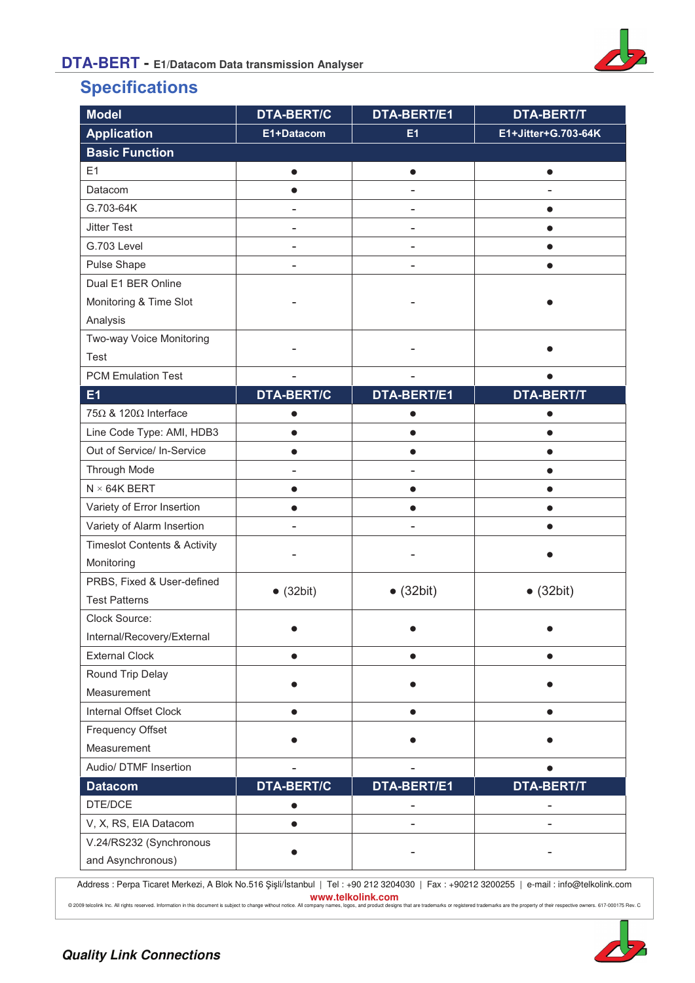

## **Specifications**

| <b>Model</b>                            | <b>DTA-BERT/C</b> | DTA-BERT/E1        | <b>DTA-BERT/T</b>   |
|-----------------------------------------|-------------------|--------------------|---------------------|
| <b>Application</b>                      | E1+Datacom        | E1                 | E1+Jitter+G.703-64K |
| <b>Basic Function</b>                   |                   |                    |                     |
| E1                                      | $\bullet$         | $\bullet$          | $\bullet$           |
| Datacom                                 |                   |                    |                     |
| G.703-64K                               |                   |                    |                     |
| <b>Jitter Test</b>                      | ۰                 |                    | $\bullet$           |
| G.703 Level                             | ÷                 |                    | $\bullet$           |
| Pulse Shape                             |                   |                    |                     |
| Dual E1 BER Online                      |                   |                    |                     |
| Monitoring & Time Slot                  |                   |                    |                     |
| Analysis                                |                   |                    |                     |
| Two-way Voice Monitoring                |                   |                    |                     |
| Test                                    |                   |                    |                     |
| <b>PCM Emulation Test</b>               |                   |                    |                     |
| E1                                      | <b>DTA-BERT/C</b> | <b>DTA-BERT/E1</b> | <b>DTA-BERT/T</b>   |
| $75\Omega$ & 120 $\Omega$ Interface     | $\bullet$         |                    |                     |
| Line Code Type: AMI, HDB3               | $\bullet$         |                    |                     |
| Out of Service/ In-Service              | $\bullet$         |                    |                     |
| Through Mode                            | $\overline{a}$    |                    |                     |
| $N \times 64K$ BERT                     | $\bullet$         | $\bullet$          |                     |
| Variety of Error Insertion              | $\bullet$         |                    |                     |
| Variety of Alarm Insertion              |                   |                    | ●                   |
| <b>Timeslot Contents &amp; Activity</b> |                   |                    |                     |
| Monitoring                              |                   |                    |                     |
| PRBS, Fixed & User-defined              | $\bullet$ (32bit) | $\bullet$ (32bit)  | $\bullet$ (32bit)   |
| <b>Test Patterns</b>                    |                   |                    |                     |
| Clock Source:                           |                   |                    |                     |
| Internal/Recovery/External              |                   |                    |                     |
| <b>External Clock</b>                   | $\bullet$         |                    | $\bullet$           |
| Round Trip Delay                        |                   |                    |                     |
| Measurement                             |                   |                    |                     |
| Internal Offset Clock                   |                   |                    |                     |
| Frequency Offset                        |                   |                    |                     |
| Measurement                             |                   |                    |                     |
| Audio/ DTMF Insertion                   |                   |                    |                     |
| <b>Datacom</b>                          | <b>DTA-BERT/C</b> | DTA-BERT/E1        | <b>DTA-BERT/T</b>   |
| DTE/DCE                                 |                   |                    |                     |
| V, X, RS, EIA Datacom                   | $\bullet$         |                    |                     |
| V.24/RS232 (Synchronous                 |                   |                    |                     |
| and Asynchronous)                       |                   |                    |                     |

Address : Perpa Ticaret Merkezi, A Blok No.516 Şişli/İstanbul | Tel : +90 212 3204030 | Fax : +90212 3200255 | e-mail : info@telkolink.com **www.telkolink.com** 

@ 2009 telociink Inc. All rights reserved. Information in this document is subject to change without notice. All company names, logos, and product designs that are trademarks or registered trademarks are the property of th